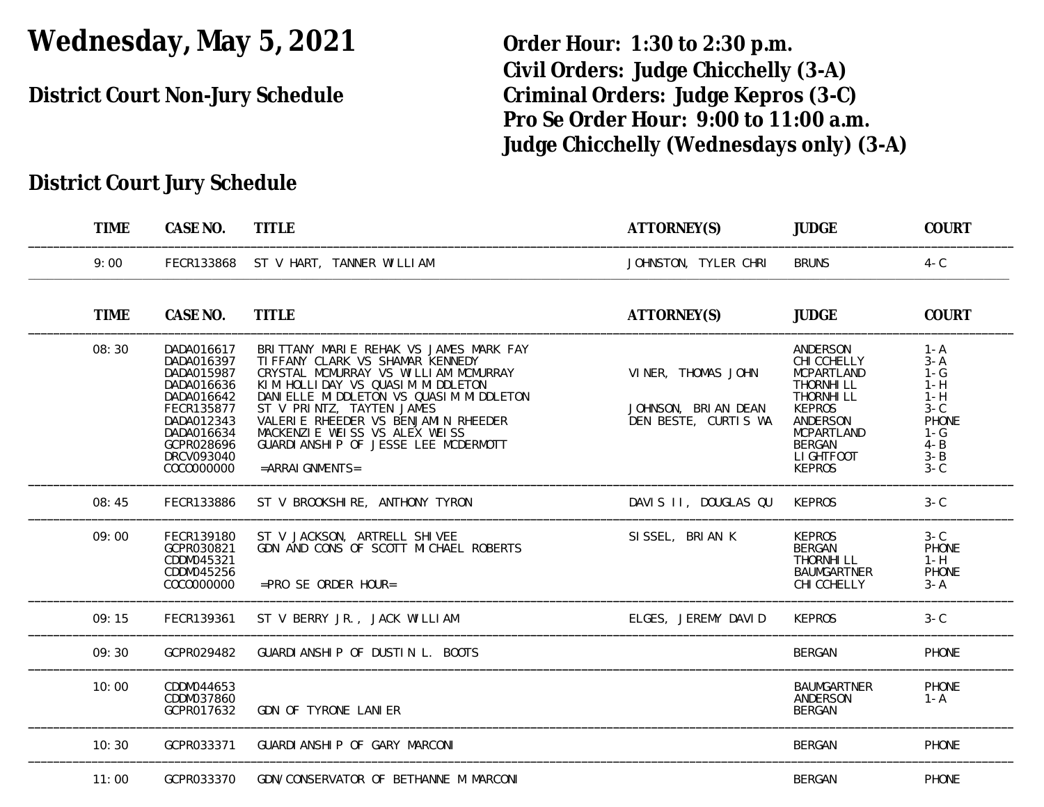# **Wednesday, May 5, 2021 Order Hour: 1:30 to 2:30 p.m.**

**Civil Orders: Judge Chicchelly (3-A) District Court Non-Jury Schedule Criminal Orders: Judge Kepros (3-C) Pro Se Order Hour: 9:00 to 11:00 a.m. Judge Chicchelly (Wednesdays only) (3-A)**

## **District Court Jury Schedule**

| <b>TIME</b> | CASE NO.                                                                                                                                               | <b>TITLE</b>                                                                                                                                                                                                                                                                                                                                                        | ATTORNEY(S)                                                       | <b>JUDGE</b>                                                                                                                                                        | COURT                                                                                                   |
|-------------|--------------------------------------------------------------------------------------------------------------------------------------------------------|---------------------------------------------------------------------------------------------------------------------------------------------------------------------------------------------------------------------------------------------------------------------------------------------------------------------------------------------------------------------|-------------------------------------------------------------------|---------------------------------------------------------------------------------------------------------------------------------------------------------------------|---------------------------------------------------------------------------------------------------------|
| 9:00        | FECR133868                                                                                                                                             | ST V HART, TANNER WILLIAM                                                                                                                                                                                                                                                                                                                                           | JOHNSTON, TYLER CHRI                                              | <b>BRUNS</b>                                                                                                                                                        | $4 - C$                                                                                                 |
| <b>TIME</b> | CASE NO.                                                                                                                                               | <b>TITLE</b>                                                                                                                                                                                                                                                                                                                                                        | ATTORNEY(S)                                                       | <b>JUDGE</b>                                                                                                                                                        | <b>COURT</b>                                                                                            |
| 08:30       | DADA016617<br>DADA016397<br>DADA015987<br>DADA016636<br>DADA016642<br>FECR135877<br>DADA012343<br>DADA016634<br>GCPR028696<br>DRCV093040<br>COCOOOOOOO | BRITTANY MARIE REHAK VS JAMES MARK FAY<br>TI FFANY CLARK VS SHAMAR KENNEDY<br>CRYSTAL MCMURRAY VS WILLIAM MCMURRAY<br>KIM HOLLIDAY VS QUASIM MIDDLETON<br>DANIELLE MIDDLETON VS QUASIM MIDDLETON<br>ST V PRINTZ, TAYTEN JAMES<br>VALERIE RHEEDER VS BENJAMIN RHEEDER<br>MACKENZIE WEISS VS ALEX WEISS<br>GUARDI ANSHIP OF JESSE LEE MCDERMOTT<br>$=$ ARRAI GNMENTS= | VINER, THOMAS JOHN<br>JOHNSON, BRIAN DEAN<br>DEN BESTE, CURTIS WA | ANDERSON<br>CHI CCHELLY<br><b>MCPARTLAND</b><br>THORNHI LL<br>THORNHI LL<br><b>KEPROS</b><br>ANDERSON<br>MCPARTLAND<br><b>BERGAN</b><br>LI GHTFOOT<br><b>KEPROS</b> | $1 - A$<br>$3 - A$<br>$1-G$<br>$1-H$<br>$1-H$<br>$3-C$<br>PHONE<br>$1-G$<br>$4 - B$<br>$3 - B$<br>$3-C$ |
| 08:45       | FECR133886                                                                                                                                             | ST V BROOKSHIRE, ANTHONY TYRON                                                                                                                                                                                                                                                                                                                                      | DAVIS II, DOUGLAS QU                                              | <b>KEPROS</b>                                                                                                                                                       | $3-C$                                                                                                   |
| 09:00       | FECR139180<br>GCPR030821<br>CDDM045321<br>CDDM045256<br>COCOOOOOOO                                                                                     | ST V JACKSON, ARTRELL SHIVEE<br>GDN AND CONS OF SCOTT MICHAEL ROBERTS<br>$=$ PRO SE ORDER HOUR=                                                                                                                                                                                                                                                                     | SISSEL, BRIAN K                                                   | <b>KEPROS</b><br><b>BERGAN</b><br>THORNHI LL<br><b>BAUMGARTNER</b><br>CHI CCHELLY                                                                                   | $3-C$<br>PHONE<br>$1-H$<br>PHONE<br>$3 - A$                                                             |
| 09:15       | FECR139361                                                                                                                                             | ST V BERRY JR., JACK WILLIAM                                                                                                                                                                                                                                                                                                                                        | ELGES, JEREMY DAVID                                               | <b>KEPROS</b>                                                                                                                                                       | $3-C$                                                                                                   |
| 09:30       | GCPR029482                                                                                                                                             | GUARDI ANSHIP OF DUSTIN L. BOOTS                                                                                                                                                                                                                                                                                                                                    |                                                                   | <b>BERGAN</b>                                                                                                                                                       | PHONE                                                                                                   |
| 10:00       | CDDM044653<br>CDDM037860<br>GCPR017632                                                                                                                 | GDN OF TYRONE LANIER                                                                                                                                                                                                                                                                                                                                                |                                                                   | <b>BAUMGARTNER</b><br>ANDERSON<br><b>BERGAN</b>                                                                                                                     | PHONE<br>$1 - A$                                                                                        |
| 10:30       | GCPR033371                                                                                                                                             | GUARDI ANSHI P OF GARY MARCONI                                                                                                                                                                                                                                                                                                                                      |                                                                   | <b>BERGAN</b>                                                                                                                                                       | PHONE                                                                                                   |
| 11:00       | GCPR033370                                                                                                                                             | GDN/CONSERVATOR OF BETHANNE M MARCONI                                                                                                                                                                                                                                                                                                                               |                                                                   | <b>BERGAN</b>                                                                                                                                                       | PHONE                                                                                                   |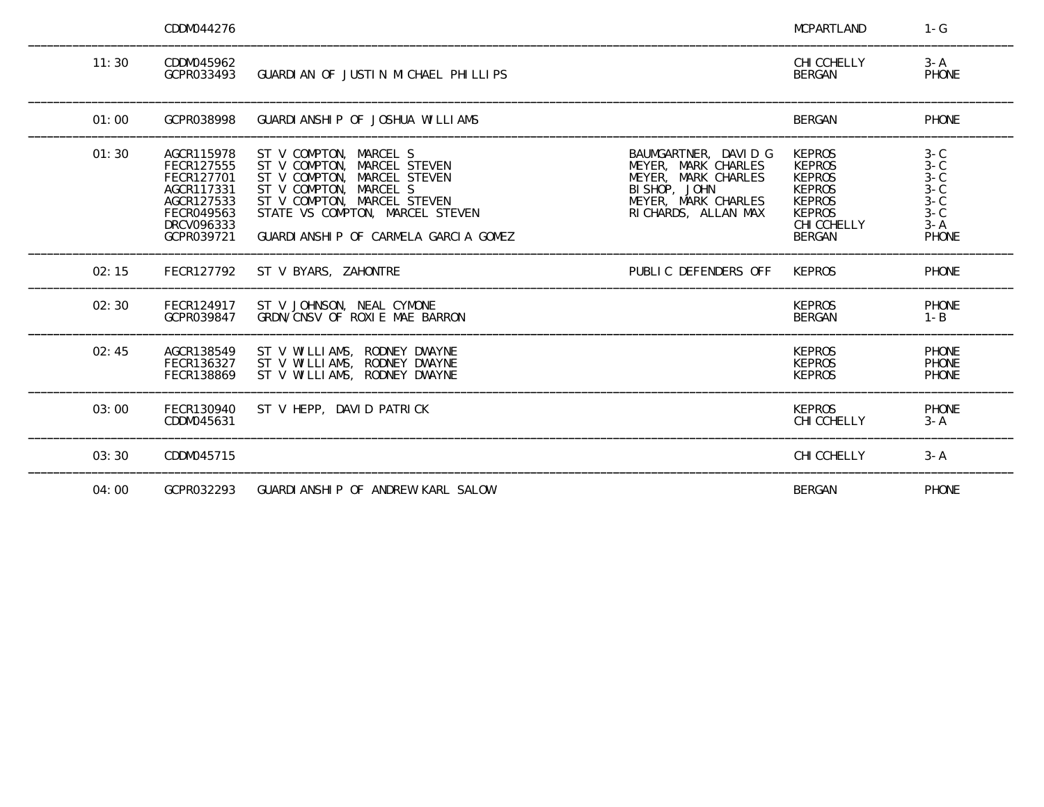|       | CDDM044276                                                                                                   |                                                                                                                                                                                                                          |                                                                                                                                    | <b>MCPARTLAND</b>                                                                                                                  | $1-G$                                                                        |
|-------|--------------------------------------------------------------------------------------------------------------|--------------------------------------------------------------------------------------------------------------------------------------------------------------------------------------------------------------------------|------------------------------------------------------------------------------------------------------------------------------------|------------------------------------------------------------------------------------------------------------------------------------|------------------------------------------------------------------------------|
| 11:30 | CDDM045962<br>GCPR033493                                                                                     | GUARDIAN OF JUSTIN MICHAEL PHILLIPS                                                                                                                                                                                      |                                                                                                                                    | CHI CCHELLY<br><b>BERGAN</b>                                                                                                       | $3 - A$<br>PHONE                                                             |
| 01:00 | GCPR038998                                                                                                   | GUARDI ANSHIP OF JOSHUA WILLIAMS                                                                                                                                                                                         |                                                                                                                                    | <b>BERGAN</b>                                                                                                                      | PHONE                                                                        |
| 01:30 | AGCR115978<br>FECR127555<br>FECR127701<br>AGCR117331<br>AGCR127533<br>FECR049563<br>DRCV096333<br>GCPR039721 | ST V COMPTON, MARCEL S<br>ST V COMPTON, MARCEL STEVEN<br>ST V COMPTON, MARCEL STEVEN<br>ST V COMPTON, MARCEL S<br>ST V COMPTON, MARCEL STEVEN<br>STATE VS COMPTON, MARCEL STEVEN<br>GUARDIANSHIP OF CARMELA GARCIA GOMEZ | BAUMGARTNER, DAVID G<br>MEYER, MARK CHARLES<br>MEYER, MARK CHARLES<br>BI SHOP, JOHN<br>MEYER, MARK CHARLES<br>RI CHARDS, ALLAN MAX | <b>KEPROS</b><br><b>KEPROS</b><br><b>KEPROS</b><br><b>KEPROS</b><br><b>KEPROS</b><br><b>KEPROS</b><br>CHI CCHELLY<br><b>BERGAN</b> | $3-C$<br>$3-C$<br>$3 - C$<br>$3 - C$<br>$3 - C$<br>$3-C$<br>$3 - A$<br>PHONE |
| 02:15 | FECR127792                                                                                                   | ST V BYARS, ZAHONTRE                                                                                                                                                                                                     | PUBLIC DEFENDERS OFF                                                                                                               | <b>KEPROS</b>                                                                                                                      | <b>PHONE</b>                                                                 |
| 02:30 | FECR124917<br>GCPR039847                                                                                     | ST V JOHNSON, NEAL CYMONE<br>GRDN/CNSV OF ROXLE MAE BARRON                                                                                                                                                               |                                                                                                                                    | <b>KEPROS</b><br><b>BERGAN</b>                                                                                                     | <b>PHONE</b><br>$1 - B$                                                      |
| 02:45 | AGCR138549<br>FECR136327<br>FECR138869                                                                       | ST V WILLIAMS, RODNEY DWAYNE<br>ST V WILLIAMS, RODNEY DWAYNE<br>ST V WILLIAMS, RODNEY DWAYNE                                                                                                                             |                                                                                                                                    | <b>KEPROS</b><br><b>KEPROS</b><br><b>KEPROS</b>                                                                                    | PHONE<br>PHONE<br>PHONE                                                      |
| 03:00 | FECR130940<br>CDDM045631                                                                                     | ST V HEPP, DAVID PATRICK                                                                                                                                                                                                 |                                                                                                                                    | <b>KEPROS</b><br>CHI CCHELLY                                                                                                       | <b>PHONE</b><br>$3 - A$                                                      |
| 03:30 | CDDM045715                                                                                                   |                                                                                                                                                                                                                          |                                                                                                                                    | CHI CCHELLY                                                                                                                        | $3 - A$                                                                      |
| 04:00 | GCPR032293                                                                                                   | GUARDI ANSHIP OF ANDREW KARL SALOW                                                                                                                                                                                       |                                                                                                                                    | <b>BERGAN</b>                                                                                                                      | <b>PHONE</b>                                                                 |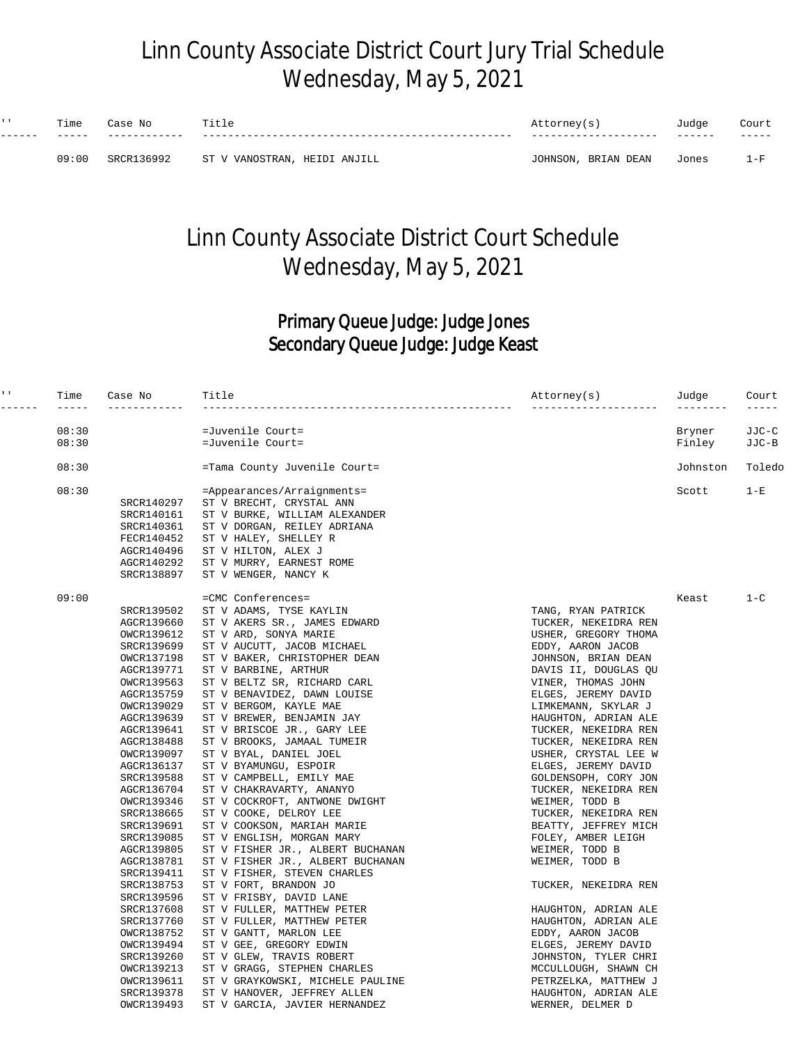## Linn County Associate District Court Jury Trial Schedule Wednesday, May 5, 2021

| $\mathbf{I}$ | Time  | N∩<br>eser     |                              | Attorney(s)            | Tudae  | Court   |
|--------------|-------|----------------|------------------------------|------------------------|--------|---------|
|              |       |                |                              |                        | ------ | -----   |
|              | 09:00 | 36992<br>SRCR1 | ST V VANOSTRAN, HEIDI ANJILL | BRIAN DEAN<br>JOHNSON, | Jones  | $1 - F$ |

## Linn County Associate District Court Schedule Wednesday, May 5, 2021

#### Primary Queue Judge: Judge Jones Secondary Queue Judge: Judge Keast

| $\mathbf{L} \cdot \mathbf{L}$<br>$- - - - - - -$ | Time           | Case No                  | Title                                                           | Attorney(s)<br>---------                     | Judge<br>$- - - - - - - -$ | Court<br>----- |
|--------------------------------------------------|----------------|--------------------------|-----------------------------------------------------------------|----------------------------------------------|----------------------------|----------------|
|                                                  |                |                          |                                                                 |                                              |                            |                |
|                                                  | 08:30<br>08:30 |                          | =Juvenile Court=                                                |                                              | Bryner                     | JJC-C          |
|                                                  |                |                          | =Juvenile Court=                                                |                                              | Finley                     | JJC-B          |
|                                                  | 08:30          |                          | =Tama County Juvenile Court=                                    |                                              | Johnston                   | Toledo         |
|                                                  | 08:30          |                          | =Appearances/Arraignments=                                      |                                              | Scott                      | $1-E$          |
|                                                  |                | SRCR140297               | ST V BRECHT, CRYSTAL ANN                                        |                                              |                            |                |
|                                                  |                | SRCR140161               | ST V BURKE, WILLIAM ALEXANDER                                   |                                              |                            |                |
|                                                  |                | SRCR140361               | ST V DORGAN, REILEY ADRIANA                                     |                                              |                            |                |
|                                                  |                | FECR140452               | ST V HALEY, SHELLEY R                                           |                                              |                            |                |
|                                                  |                | AGCR140496               | ST V HILTON, ALEX J                                             |                                              |                            |                |
|                                                  |                | AGCR140292               | ST V MURRY, EARNEST ROME                                        |                                              |                            |                |
|                                                  |                | SRCR138897               | ST V WENGER, NANCY K                                            |                                              |                            |                |
|                                                  | 09:00          |                          | =CMC Conferences=                                               |                                              | Keast                      | $1 - C$        |
|                                                  |                | SRCR139502               | ST V ADAMS, TYSE KAYLIN                                         | TANG, RYAN PATRICK                           |                            |                |
|                                                  |                | AGCR139660               | ST V AKERS SR., JAMES EDWARD                                    | TUCKER, NEKEIDRA REN                         |                            |                |
|                                                  |                | OWCR139612               | ST V ARD, SONYA MARIE                                           | USHER, GREGORY THOMA                         |                            |                |
|                                                  |                | SRCR139699               | ST V AUCUTT, JACOB MICHAEL                                      | EDDY, AARON JACOB                            |                            |                |
|                                                  |                | OWCR137198               | ST V BAKER, CHRISTOPHER DEAN                                    | JOHNSON, BRIAN DEAN                          |                            |                |
|                                                  |                | AGCR139771               | ST V BARBINE, ARTHUR                                            | DAVIS II, DOUGLAS QU                         |                            |                |
|                                                  |                | OWCR139563               | ST V BELTZ SR, RICHARD CARL                                     | VINER, THOMAS JOHN                           |                            |                |
|                                                  |                | AGCR135759               | ST V BENAVIDEZ, DAWN LOUISE                                     | ELGES, JEREMY DAVID                          |                            |                |
|                                                  |                | OWCR139029               | ST V BERGOM, KAYLE MAE                                          | LIMKEMANN, SKYLAR J                          |                            |                |
|                                                  |                | AGCR139639               | ST V BREWER, BENJAMIN JAY                                       | HAUGHTON, ADRIAN ALE                         |                            |                |
|                                                  |                | AGCR139641               | ST V BRISCOE JR., GARY LEE                                      | TUCKER, NEKEIDRA REN                         |                            |                |
|                                                  |                | AGCR138488               | ST V BROOKS, JAMAAL TUMEIR                                      | TUCKER, NEKEIDRA REN                         |                            |                |
|                                                  |                | OWCR139097               | ST V BYAL, DANIEL JOEL                                          | USHER, CRYSTAL LEE W                         |                            |                |
|                                                  |                | AGCR136137               | ST V BYAMUNGU, ESPOIR                                           | ELGES, JEREMY DAVID                          |                            |                |
|                                                  |                | SRCR139588               | ST V CAMPBELL, EMILY MAE                                        | GOLDENSOPH, CORY JON                         |                            |                |
|                                                  |                | AGCR136704               | ST V CHAKRAVARTY, ANANYO                                        | TUCKER, NEKEIDRA REN                         |                            |                |
|                                                  |                | OWCR139346               | ST V COCKROFT, ANTWONE DWIGHT                                   | WEIMER, TODD B                               |                            |                |
|                                                  |                | SRCR138665               | ST V COOKE, DELROY LEE                                          | TUCKER, NEKEIDRA REN                         |                            |                |
|                                                  |                | SRCR139691               | ST V COOKSON, MARIAH MARIE                                      | BEATTY, JEFFREY MICH                         |                            |                |
|                                                  |                | SRCR139085               | ST V ENGLISH, MORGAN MARY                                       | FOLEY, AMBER LEIGH                           |                            |                |
|                                                  |                | AGCR139805               | ST V FISHER JR., ALBERT BUCHANAN                                | WEIMER, TODD B                               |                            |                |
|                                                  |                | AGCR138781               | ST V FISHER JR., ALBERT BUCHANAN                                | WEIMER, TODD B                               |                            |                |
|                                                  |                | SRCR139411               | ST V FISHER, STEVEN CHARLES                                     |                                              |                            |                |
|                                                  |                | SRCR138753               | ST V FORT, BRANDON JO                                           | TUCKER, NEKEIDRA REN                         |                            |                |
|                                                  |                | SRCR139596               | ST V FRISBY, DAVID LANE                                         |                                              |                            |                |
|                                                  |                | SRCR137608               | ST V FULLER, MATTHEW PETER                                      | HAUGHTON, ADRIAN ALE                         |                            |                |
|                                                  |                | SRCR137760               | ST V FULLER, MATTHEW PETER                                      | HAUGHTON, ADRIAN ALE                         |                            |                |
|                                                  |                | OWCR138752               | ST V GANTT, MARLON LEE                                          | EDDY, AARON JACOB                            |                            |                |
|                                                  |                | OWCR139494               | ST V GEE, GREGORY EDWIN                                         | ELGES, JEREMY DAVID                          |                            |                |
|                                                  |                | SRCR139260               | ST V GLEW, TRAVIS ROBERT                                        | JOHNSTON, TYLER CHRI                         |                            |                |
|                                                  |                | OWCR139213<br>OWCR139611 | ST V GRAGG, STEPHEN CHARLES<br>ST V GRAYKOWSKI, MICHELE PAULINE | MCCULLOUGH, SHAWN CH                         |                            |                |
|                                                  |                | SRCR139378               | ST V HANOVER, JEFFREY ALLEN                                     | PETRZELKA, MATTHEW J<br>HAUGHTON, ADRIAN ALE |                            |                |
|                                                  |                | OWCR139493               | ST V GARCIA, JAVIER HERNANDEZ                                   | WERNER, DELMER D                             |                            |                |
|                                                  |                |                          |                                                                 |                                              |                            |                |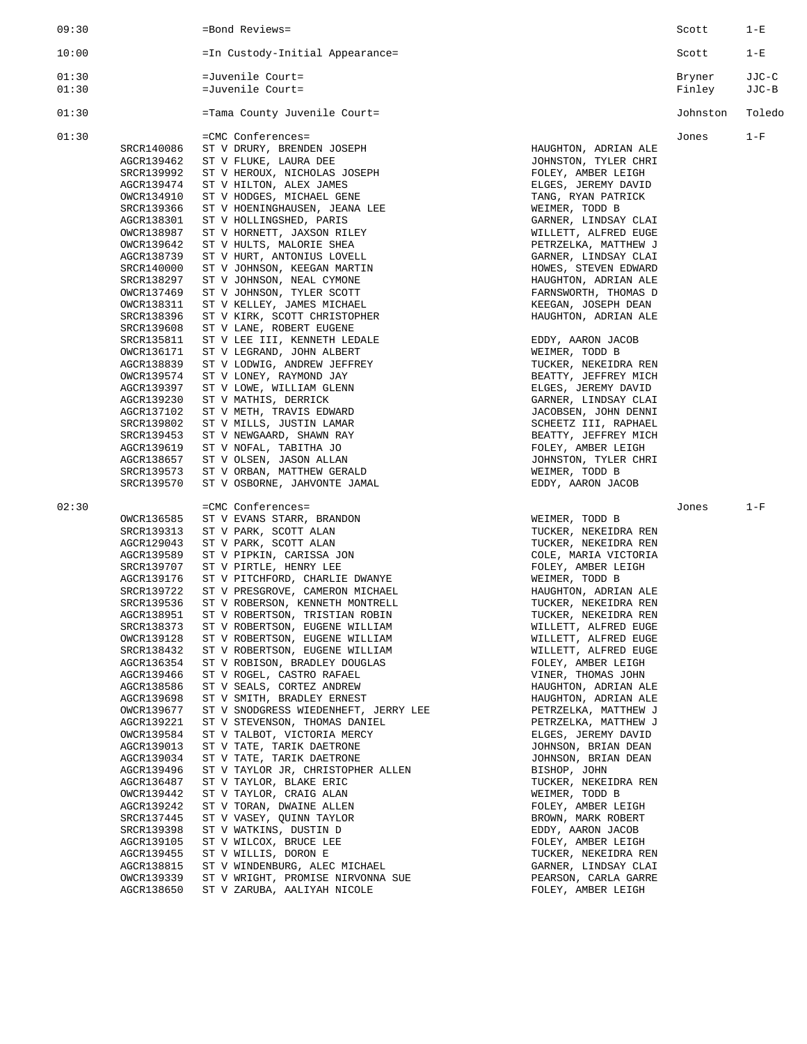| 09:30 |                          | =Bond Reviews=                                                   |                                              | Scott    | $1-E$  |
|-------|--------------------------|------------------------------------------------------------------|----------------------------------------------|----------|--------|
| 10:00 |                          | =In Custody-Initial Appearance=                                  |                                              | Scott    | $1-E$  |
| 01:30 |                          | =Juvenile Court=                                                 |                                              | Bryner   | JJC-C  |
| 01:30 |                          | =Juvenile Court=                                                 |                                              | Finley   | JJC-B  |
| 01:30 |                          | =Tama County Juvenile Court=                                     |                                              | Johnston | Toledo |
| 01:30 |                          | =CMC Conferences=                                                |                                              | Jones    | $1-F$  |
|       | SRCR140086               | ST V DRURY, BRENDEN JOSEPH                                       | HAUGHTON, ADRIAN ALE                         |          |        |
|       | AGCR139462<br>SRCR139992 | ST V FLUKE, LAURA DEE<br>ST V HEROUX, NICHOLAS JOSEPH            | JOHNSTON, TYLER CHRI<br>FOLEY, AMBER LEIGH   |          |        |
|       | AGCR139474               | ST V HILTON, ALEX JAMES                                          | ELGES, JEREMY DAVID                          |          |        |
|       | OWCR134910               | ST V HODGES, MICHAEL GENE                                        | TANG, RYAN PATRICK                           |          |        |
|       | SRCR139366               | ST V HOENINGHAUSEN, JEANA LEE                                    | WEIMER, TODD B                               |          |        |
|       | AGCR138301               | ST V HOLLINGSHED, PARIS                                          | GARNER, LINDSAY CLAI                         |          |        |
|       | OWCR138987<br>OWCR139642 | ST V HORNETT, JAXSON RILEY<br>ST V HULTS, MALORIE SHEA           | WILLETT, ALFRED EUGE<br>PETRZELKA, MATTHEW J |          |        |
|       | AGCR138739               | ST V HURT, ANTONIUS LOVELL                                       | GARNER, LINDSAY CLAI                         |          |        |
|       | SRCR140000               | ST V JOHNSON, KEEGAN MARTIN                                      | HOWES, STEVEN EDWARD                         |          |        |
|       | SRCR138297               | ST V JOHNSON, NEAL CYMONE                                        | HAUGHTON, ADRIAN ALE                         |          |        |
|       | OWCR137469               | ST V JOHNSON, TYLER SCOTT                                        | FARNSWORTH, THOMAS D                         |          |        |
|       | OWCR138311<br>SRCR138396 | ST V KELLEY, JAMES MICHAEL                                       | KEEGAN, JOSEPH DEAN                          |          |        |
|       | SRCR139608               | ST V KIRK, SCOTT CHRISTOPHER<br>ST V LANE, ROBERT EUGENE         | HAUGHTON, ADRIAN ALE                         |          |        |
|       | SRCR135811               | ST V LEE III, KENNETH LEDALE                                     | EDDY, AARON JACOB                            |          |        |
|       | OWCR136171               | ST V LEGRAND, JOHN ALBERT                                        | WEIMER, TODD B                               |          |        |
|       | AGCR138839               | ST V LODWIG, ANDREW JEFFREY                                      | TUCKER, NEKEIDRA REN                         |          |        |
|       | OWCR139574<br>AGCR139397 | ST V LONEY, RAYMOND JAY                                          | BEATTY, JEFFREY MICH<br>ELGES, JEREMY DAVID  |          |        |
|       | AGCR139230               | ST V LOWE, WILLIAM GLENN<br>ST V MATHIS, DERRICK                 | GARNER, LINDSAY CLAI                         |          |        |
|       | AGCR137102               | ST V METH, TRAVIS EDWARD                                         | JACOBSEN, JOHN DENNI                         |          |        |
|       | SRCR139802               | ST V MILLS, JUSTIN LAMAR                                         | SCHEETZ III, RAPHAEL                         |          |        |
|       | SRCR139453               | ST V NEWGAARD, SHAWN RAY                                         | BEATTY, JEFFREY MICH                         |          |        |
|       | AGCR139619<br>AGCR138657 | ST V NOFAL, TABITHA JO                                           | FOLEY, AMBER LEIGH                           |          |        |
|       | SRCR139573               | ST V OLSEN, JASON ALLAN<br>ST V ORBAN, MATTHEW GERALD            | JOHNSTON, TYLER CHRI<br>WEIMER, TODD B       |          |        |
|       | SRCR139570               | ST V OSBORNE, JAHVONTE JAMAL                                     | EDDY, AARON JACOB                            |          |        |
| 02:30 |                          | =CMC Conferences=                                                |                                              | Jones    | $1-F$  |
|       | OWCR136585               | ST V EVANS STARR, BRANDON                                        | WEIMER, TODD B                               |          |        |
|       | SRCR139313               | ST V PARK, SCOTT ALAN                                            | TUCKER, NEKEIDRA REN                         |          |        |
|       | AGCR129043               | ST V PARK, SCOTT ALAN                                            | TUCKER, NEKEIDRA REN                         |          |        |
|       | AGCR139589<br>SRCR139707 | ST V PIPKIN, CARISSA JON<br>ST V PIRTLE, HENRY LEE               | COLE, MARIA VICTORIA<br>FOLEY, AMBER LEIGH   |          |        |
|       | AGCR139176               | ST V PITCHFORD, CHARLIE DWANYE                                   | WEIMER, TODD B                               |          |        |
|       | SRCR139722               | ST V PRESGROVE, CAMERON MICHAEL                                  | HAUGHTON, ADRIAN ALE                         |          |        |
|       | SRCR139536               | ST V ROBERSON, KENNETH MONTRELL                                  | TUCKER, NEKEIDRA REN                         |          |        |
|       | AGCR138951               | ST V ROBERTSON, TRISTIAN ROBIN                                   | TUCKER, NEKEIDRA REN                         |          |        |
|       | SRCR138373<br>OWCR139128 | ST V ROBERTSON, EUGENE WILLIAM<br>ST V ROBERTSON, EUGENE WILLIAM | WILLETT, ALFRED EUGE<br>WILLETT, ALFRED EUGE |          |        |
|       | SRCR138432               | ST V ROBERTSON, EUGENE WILLIAM                                   | WILLETT, ALFRED EUGE                         |          |        |
|       | AGCR136354               | ST V ROBISON, BRADLEY DOUGLAS                                    | FOLEY, AMBER LEIGH                           |          |        |
|       | AGCR139466               | ST V ROGEL, CASTRO RAFAEL                                        | VINER, THOMAS JOHN                           |          |        |
|       | AGCR138586               | ST V SEALS, CORTEZ ANDREW<br>ST V SMITH, BRADLEY ERNEST          | HAUGHTON, ADRIAN ALE<br>HAUGHTON, ADRIAN ALE |          |        |
|       | AGCR139698<br>OWCR139677 | ST V SNODGRESS WIEDENHEFT, JERRY LEE                             | PETRZELKA, MATTHEW J                         |          |        |
|       | AGCR139221               | ST V STEVENSON, THOMAS DANIEL                                    | PETRZELKA, MATTHEW J                         |          |        |
|       | OWCR139584               | ST V TALBOT, VICTORIA MERCY                                      | ELGES, JEREMY DAVID                          |          |        |
|       | AGCR139013               | ST V TATE, TARIK DAETRONE                                        | JOHNSON, BRIAN DEAN                          |          |        |
|       | AGCR139034               | ST V TATE, TARIK DAETRONE                                        | JOHNSON, BRIAN DEAN                          |          |        |
|       | AGCR139496<br>AGCR136487 | ST V TAYLOR JR, CHRISTOPHER ALLEN<br>ST V TAYLOR, BLAKE ERIC     | BISHOP, JOHN<br>TUCKER, NEKEIDRA REN         |          |        |
|       | OWCR139442               | ST V TAYLOR, CRAIG ALAN                                          | WEIMER, TODD B                               |          |        |
|       | AGCR139242               | ST V TORAN, DWAINE ALLEN                                         | FOLEY, AMBER LEIGH                           |          |        |
|       | SRCR137445               | ST V VASEY, QUINN TAYLOR                                         | BROWN, MARK ROBERT                           |          |        |
|       | SRCR139398<br>AGCR139105 | ST V WATKINS, DUSTIN D<br>ST V WILCOX, BRUCE LEE                 | EDDY, AARON JACOB<br>FOLEY, AMBER LEIGH      |          |        |
|       | AGCR139455               | ST V WILLIS, DORON E                                             | TUCKER, NEKEIDRA REN                         |          |        |
|       | AGCR138815               | ST V WINDENBURG, ALEC MICHAEL                                    | GARNER, LINDSAY CLAI                         |          |        |
|       | OWCR139339               | ST V WRIGHT, PROMISE NIRVONNA SUE                                | PEARSON, CARLA GARRE                         |          |        |
|       | AGCR138650               | ST V ZARUBA, AALIYAH NICOLE                                      | FOLEY, AMBER LEIGH                           |          |        |